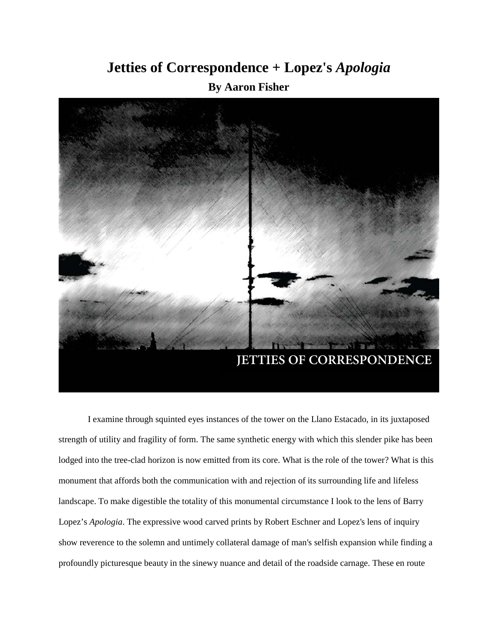## **Jetties of Correspondence + Lopez's** *Apologia* **By Aaron Fisher**



I examine through squinted eyes instances of the tower on the Llano Estacado, in its juxtaposed strength of utility and fragility of form. The same synthetic energy with which this slender pike has been lodged into the tree-clad horizon is now emitted from its core. What is the role of the tower? What is this monument that affords both the communication with and rejection of its surrounding life and lifeless landscape. To make digestible the totality of this monumental circumstance I look to the lens of Barry Lopez's *Apologia*. The expressive wood carved prints by Robert Eschner and Lopez's lens of inquiry show reverence to the solemn and untimely collateral damage of man's selfish expansion while finding a profoundly picturesque beauty in the sinewy nuance and detail of the roadside carnage. These en route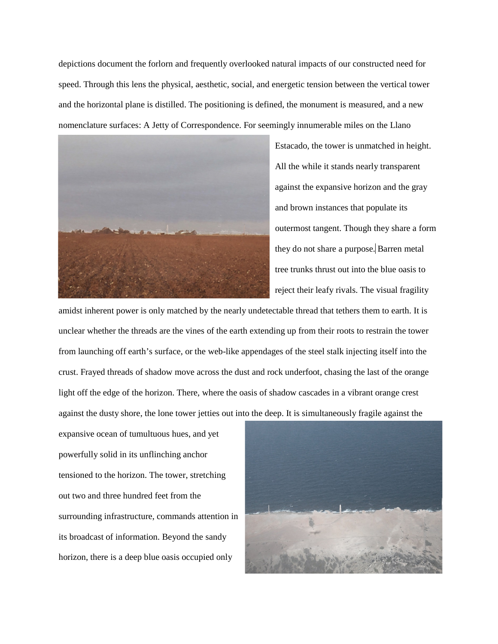depictions document the forlorn and frequently overlooked natural impacts of our constructed need for speed. Through this lens the physical, aesthetic, social, and energetic tension between the vertical tower and the horizontal plane is distilled. The positioning is defined, the monument is measured, and a new nomenclature surfaces: A Jetty of Correspondence. For seemingly innumerable miles on the Llano



Estacado, the tower is unmatched in height. All the while it stands nearly transparent against the expansive horizon and the gray and brown instances that populate its outermost tangent. Though they share a form they do not share a purpose. Barren metal tree trunks thrust out into the blue oasis to reject their leafy rivals. The visual fragility

amidst inherent power is only matched by the nearly undetectable thread that tethers them to earth. It is unclear whether the threads are the vines of the earth extending up from their roots to restrain the tower from launching off earth's surface, or the web-like appendages of the steel stalk injecting itself into the crust. Frayed threads of shadow move across the dust and rock underfoot, chasing the last of the orange light off the edge of the horizon. There, where the oasis of shadow cascades in a vibrant orange crest against the dusty shore, the lone tower jetties out into the deep. It is simultaneously fragile against the

expansive ocean of tumultuous hues, and yet powerfully solid in its unflinching anchor tensioned to the horizon. The tower, stretching out two and three hundred feet from the surrounding infrastructure, commands attention in its broadcast of information. Beyond the sandy horizon, there is a deep blue oasis occupied only